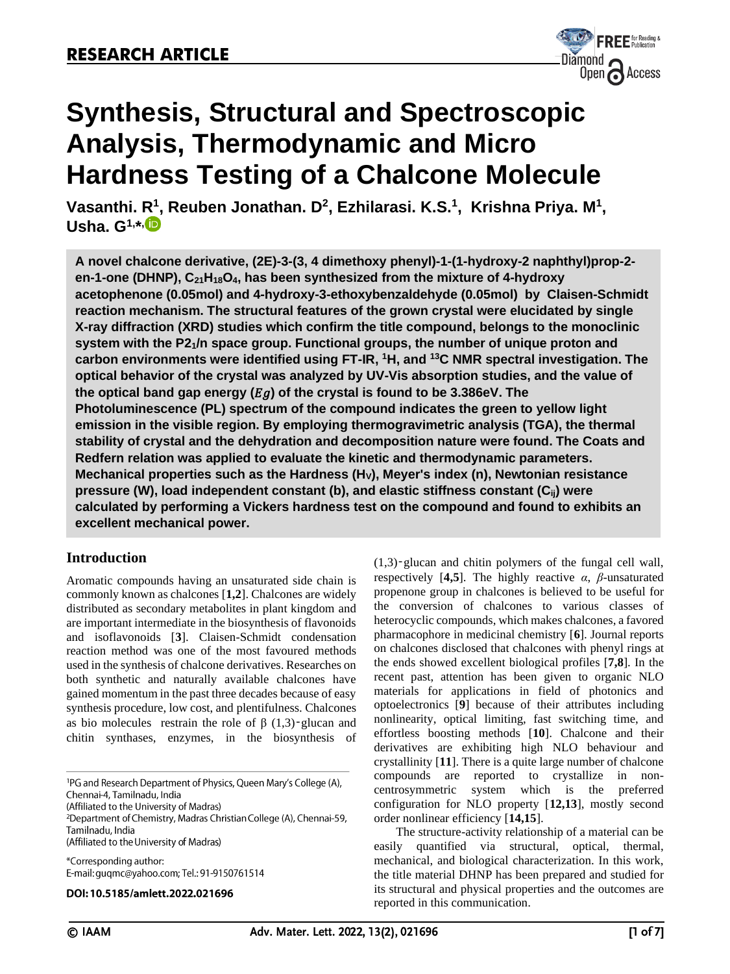

# **Synthesis, Structural and Spectroscopic Analysis, Thermodynamic and Micro Hardness Testing of a Chalcone Molecule**

**Vasanthi. [R](http://orcid.org/0000-0003-2039-4193)<sup>1</sup> , Reuben Jonathan. D<sup>2</sup> , Ezhilarasi. K.S. 1 , Krishna Priya. M<sup>1</sup> , Usha. G1, \* ,**

**A novel chalcone derivative, (2E)-3-(3, 4 dimethoxy phenyl)-1-(1-hydroxy-2 naphthyl)prop-2 en-1-one (DHNP), C21H18O4, has been synthesized from the mixture of 4-hydroxy acetophenone (0.05mol) and 4-hydroxy-3-ethoxybenzaldehyde (0.05mol) by Claisen-Schmidt reaction mechanism. The structural features of the grown crystal were elucidated by single X-ray diffraction (XRD) studies which confirm the title compound, belongs to the monoclinic system with the P21/n space group. Functional groups, the number of unique proton and carbon environments were identified using FT-IR, <sup>1</sup>H, and <sup>13</sup>C NMR spectral investigation. The optical behavior of the crystal was analyzed by UV-Vis absorption studies, and the value of**  the optical band gap energy  $(Eg)$  of the crystal is found to be 3.386eV. The **Photoluminescence (PL) spectrum of the compound indicates the green to yellow light emission in the visible region. By employing thermogravimetric analysis (TGA), the thermal stability of crystal and the dehydration and decomposition nature were found. The Coats and Redfern relation was applied to evaluate the kinetic and thermodynamic parameters. Mechanical properties such as the Hardness (HV), Meyer's index (n), Newtonian resistance pressure (W), load independent constant (b), and elastic stiffness constant (Cij) were calculated by performing a Vickers hardness test on the compound and found to exhibits an excellent mechanical power.**

# **Introduction**

Aromatic compounds having an unsaturated side chain is commonly known as chalcones [**1,2**]. Chalcones are widely distributed as secondary metabolites in plant kingdom and are important intermediate in the biosynthesis of flavonoids and isoflavonoids [**3**]. Claisen-Schmidt condensation reaction method was one of the most favoured methods used in the synthesis of chalcone derivatives. Researches on both synthetic and naturally available chalcones have gained momentum in the past three decades because of easy synthesis procedure, low cost, and plentifulness. Chalcones as bio molecules restrain the role of  $β(1,3)$ -glucan and chitin synthases, enzymes, in the biosynthesis of

<sup>1</sup>PG and Research Department of Physics, Queen Mary's College (A),

(Affiliated to the University of Madras)

<sup>2</sup>Department of Chemistry, Madras Christian College (A), Chennai-59, Tamilnadu, India (Affiliated to the University of Madras)

\*Corresponding author: E-mail: guqmc@yahoo.com; Tel.: 91-9150761514

DOI: 10.5185/amlett.2022.021696

(1,3)‑glucan and chitin polymers of the fungal cell wall, respectively [**4,5**]. The highly reactive *α*, *β*-unsaturated propenone group in chalcones is believed to be useful for the conversion of chalcones to various classes of heterocyclic compounds, which makes chalcones, a favored pharmacophore in medicinal chemistry [**6**]. Journal reports on chalcones disclosed that chalcones with phenyl rings at the ends showed excellent biological profiles [**7,8**]. In the recent past, attention has been given to organic NLO materials for applications in field of photonics and optoelectronics [**9**] because of their attributes including nonlinearity, optical limiting, fast switching time, and effortless boosting methods [**10**]. Chalcone and their derivatives are exhibiting high NLO behaviour and crystallinity [**11**]. There is a quite large number of chalcone compounds are reported to crystallize in noncentrosymmetric system which is the preferred configuration for NLO property [**12,13**], mostly second order nonlinear efficiency [**14,15**].

The structure-activity relationship of a material can be easily quantified via structural, optical, thermal, mechanical, and biological characterization. In this work, the title material DHNP has been prepared and studied for its structural and physical properties and the outcomes are reported in this communication.

Chennai-4, Tamilnadu, India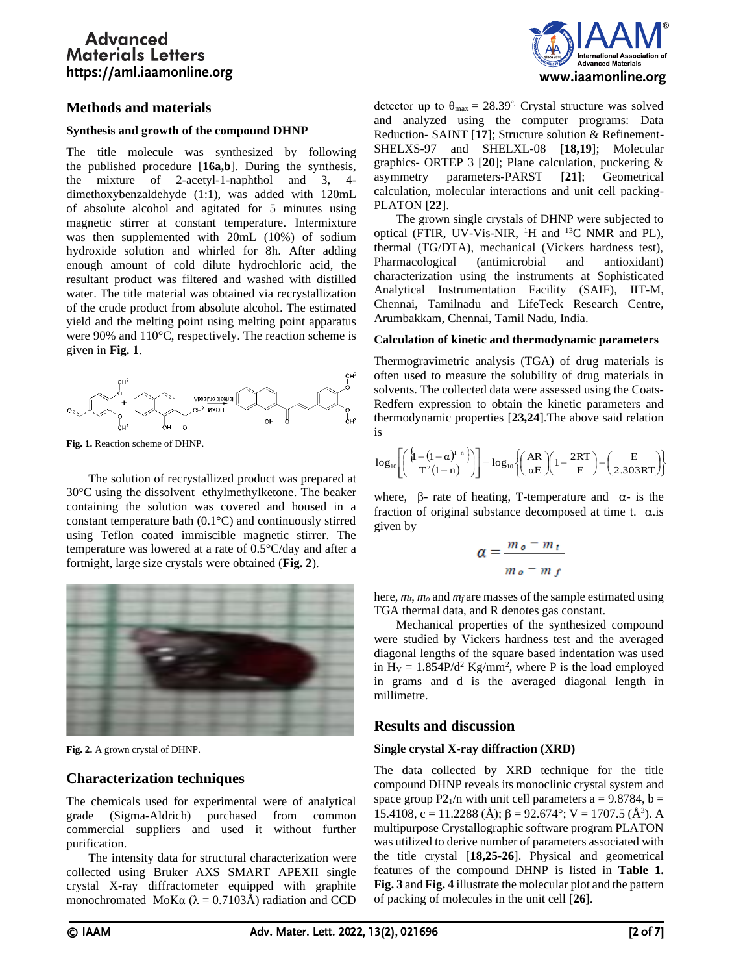

## **Methods and materials**

## **Synthesis and growth of the compound DHNP**

The title molecule was synthesized by following the published procedure [**16a,b**]. During the synthesis, the mixture of 2-acetyl-1-naphthol and 3, 4 dimethoxybenzaldehyde (1:1), was added with 120mL of absolute alcohol and agitated for 5 minutes using magnetic stirrer at constant temperature. Intermixture was then supplemented with 20mL (10%) of sodium hydroxide solution and whirled for 8h. After adding enough amount of cold dilute hydrochloric acid, the resultant product was filtered and washed with distilled water. The title material was obtained via recrystallization of the crude product from absolute alcohol. The estimated yield and the melting point using melting point apparatus were 90% and 110°C, respectively. The reaction scheme is given in **Fig. 1**.



**Fig. 1.** Reaction scheme of DHNP.

The solution of recrystallized product was prepared at 30°C using the dissolvent ethylmethylketone. The beaker containing the solution was covered and housed in a constant temperature bath (0.1°C) and continuously stirred using Teflon coated immiscible magnetic stirrer. The temperature was lowered at a rate of 0.5°C/day and after a fortnight, large size crystals were obtained (**Fig. 2**).



**Fig. 2.** A grown crystal of DHNP.

# **Characterization techniques**

The chemicals used for experimental were of analytical grade (Sigma-Aldrich) purchased from common commercial suppliers and used it without further purification.

The intensity data for structural characterization were collected using Bruker AXS SMART APEXII single crystal X-ray diffractometer equipped with graphite monochromated MoK $\alpha$  ( $\lambda = 0.7103$ Å) radiation and CCD

detector up to  $\theta_{\text{max}} = 28.39^{\circ}$ . Crystal structure was solved and analyzed using the computer programs: Data Reduction- SAINT [**17**]; Structure solution & Refinement-SHELXS-97 and SHELXL-08 [**18,19**]; Molecular graphics- ORTEP 3 [**20**]; Plane calculation, puckering & asymmetry parameters-PARST [**21**]; Geometrical calculation, molecular interactions and unit cell packing-PLATON [**22**].

The grown single crystals of DHNP were subjected to optical (FTIR, UV-Vis-NIR,  $^{1}H$  and  $^{13}C$  NMR and PL), thermal (TG/DTA), mechanical (Vickers hardness test), Pharmacological (antimicrobial and antioxidant) characterization using the instruments at Sophisticated Analytical Instrumentation Facility (SAIF), IIT-M, Chennai, Tamilnadu and LifeTeck Research Centre*,*  Arumbakkam*,* Chennai, Tamil Nadu, India.

## **Calculation of kinetic and thermodynamic parameters**

Thermogravimetric analysis (TGA) of drug materials is often used to measure the solubility of drug materials in solvents. The collected data were assessed using the Coats-Redfern expression to obtain the kinetic parameters and thermodynamic properties [**23,24**].The above said relation is

$$
\log_{10}\!\left[\!\left(\frac{\left\{1\!-\!\left(1\!-\!\alpha\right)^{\!1-n}\right\}}{T^2\!\left(1\!-\!n\right)}\!\right)\right]\!=\log_{10}\!\left\{\!\left(\frac{AR}{\alpha E}\right)\!\left(1\!-\!\frac{2RT}{E}\right)\!-\!\left(\frac{E}{2.303RT}\right)\!\right\}
$$

where,  $\beta$ - rate of heating, T-temperature and  $\alpha$ - is the fraction of original substance decomposed at time t.  $\alpha$  is given by

$$
\alpha = \frac{m_o - m_t}{m_o - m_f}
$$

here, *mt*, *m<sup>o</sup>* and *m<sup>f</sup>* are masses of the sample estimated using TGA thermal data, and R denotes gas constant.

Mechanical properties of the synthesized compound were studied by Vickers hardness test and the averaged diagonal lengths of the square based indentation was used in  $H_V = 1.854P/d^2$  Kg/mm<sup>2</sup>, where P is the load employed in grams and d is the averaged diagonal length in millimetre.

## **Results and discussion**

## **Single crystal X-ray diffraction (XRD)**

The data collected by XRD technique for the title compound DHNP reveals its monoclinic crystal system and space group P2 $_1$ /n with unit cell parameters a = 9.8784, b = 15.4108, c = 11.2288 (Å);  $\beta$  = 92.674°; V = 1707.5 (Å<sup>3</sup>). A multipurpose Crystallographic software program PLATON was utilized to derive number of parameters associated with the title crystal [**18,25-26**]. Physical and geometrical features of the compound DHNP is listed in **Table 1. Fig. 3** and **Fig. 4** illustrate the molecular plot and the pattern of packing of molecules in the unit cell [**26**].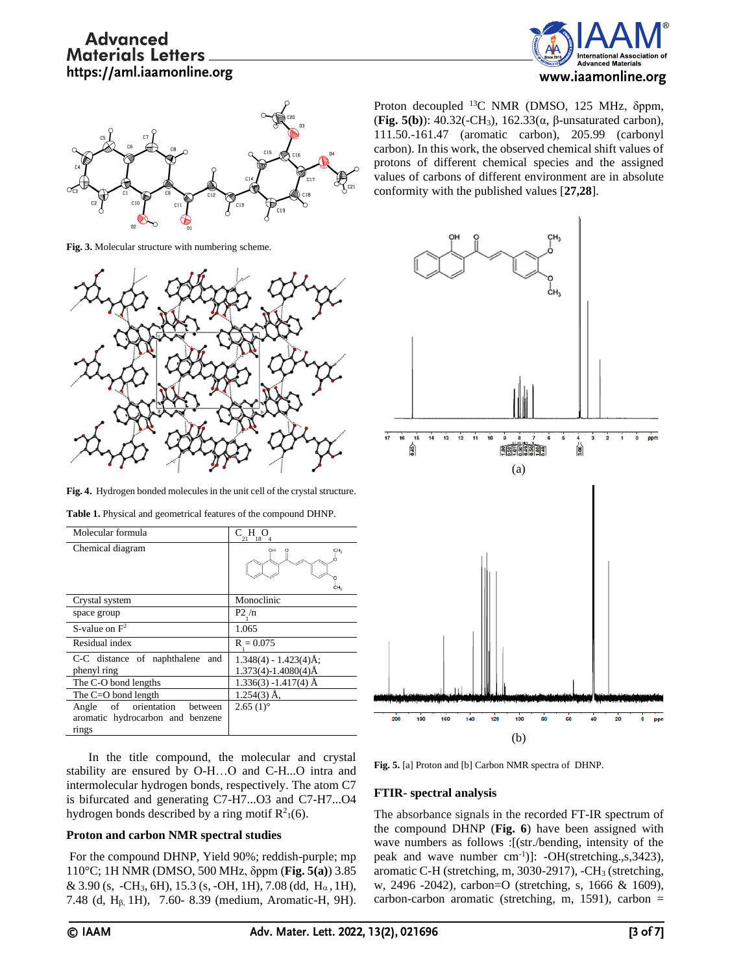



**Fig. 3.** Molecular structure with numbering scheme.



**Fig. 4.** Hydrogen bonded molecules in the unit cell of the crystal structure.

| Molecular formula                                                            | Н<br>C.<br>18                                        |
|------------------------------------------------------------------------------|------------------------------------------------------|
| Chemical diagram                                                             | CH <sub>3</sub><br>CH <sub>3</sub>                   |
| Crystal system                                                               | Monoclinic                                           |
| space group                                                                  | P2/n                                                 |
| S-value on $F^2$                                                             | 1.065                                                |
| Residual index                                                               | $R = 0.075$                                          |
| C-C distance of naphthalene<br>and<br>phenyl ring                            | $1.348(4) - 1.423(4)$ Å;<br>$1.373(4) - 1.4080(4)$ Å |
| The C-O bond lengths                                                         | $1.336(3) - 1.417(4)$ Å                              |
| The C=O bond length                                                          | $1.254(3)$ Å,                                        |
| Angle of orientation<br>between<br>aromatic hydrocarbon and benzene<br>rings | $2.65(1)$ °                                          |

**Table 1.** Physical and geometrical features of the compound DHNP.

In the title compound, the molecular and crystal stability are ensured by O-H…O and C-H...O intra and intermolecular hydrogen bonds, respectively. The atom C7 is bifurcated and generating C7-H7...O3 and C7-H7...O4 hydrogen bonds described by a ring motif  $R^2(6)$ .

## **Proton and carbon NMR spectral studies**

For the compound DHNP, Yield 90%; reddish-purple; mp 110°C; 1H NMR (DMSO, 500 MHz, δppm (**Fig. 5(a)**) 3.85 & 3.90 (s, -CH<sub>3</sub>, 6H), 15.3 (s, -OH, 1H), 7.08 (dd, H<sub>α</sub>, 1H), 7.48 (d, Hβ, 1H), 7.60- 8.39 (medium, Aromatic-H, 9H).

Proton decoupled <sup>13</sup>C NMR (DMSO, 125 MHz, δppm, (**Fig. 5(b)**): 40.32(-CH3), 162.33(α, β-unsaturated carbon), 111.50.-161.47 (aromatic carbon), 205.99 (carbonyl carbon). In this work, the observed chemical shift values of protons of different chemical species and the assigned values of carbons of different environment are in absolute conformity with the published values [**27,28**].



**Fig. 5.** [a] Proton and [b] Carbon NMR spectra of DHNP.

## **FTIR- spectral analysis**

The absorbance signals in the recorded FT-IR spectrum of the compound DHNP (**Fig. 6**) have been assigned with wave numbers as follows :[(str./bending, intensity of the peak and wave number cm<sup>-1</sup>)]: -OH(stretching.,s,3423), aromatic C-H (stretching, m, 3030-2917), -CH<sub>3</sub> (stretching, w, 2496 -2042), carbon=O (stretching, s, 1666 & 1609), carbon-carbon aromatic (stretching, m, 1591), carbon =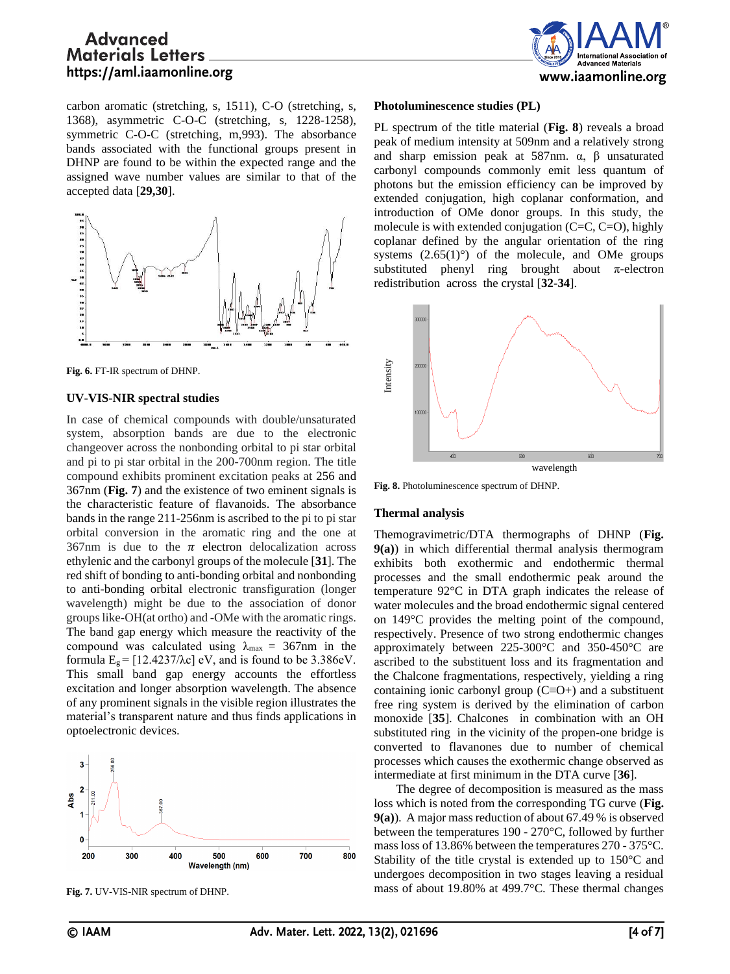

carbon aromatic (stretching, s, 1511), C-O (stretching, s, 1368), asymmetric C-O-C (stretching, s, 1228-1258), symmetric C-O-C (stretching, m,993). The absorbance bands associated with the functional groups present in DHNP are found to be within the expected range and the assigned wave number values are similar to that of the accepted data [**29,30**].



**Fig. 6.** FT-IR spectrum of DHNP.

#### **UV-VIS-NIR spectral studies**

In case of chemical compounds with double/unsaturated system, absorption bands are due to the electronic changeover across the nonbonding orbital to pi star orbital and pi to pi star orbital in the 200-700nm region. The title compound exhibits prominent excitation peaks at 256 and 367nm (**Fig. 7**) and the existence of two eminent signals is the characteristic feature of flavanoids. The absorbance bands in the range 211-256nm is ascribed to the pi to pi star orbital conversion in the aromatic ring and the one at 367nm is due to the  $\pi$  electron delocalization across ethylenic and the carbonyl groups of the molecule [**31**]. The red shift of bonding to anti-bonding orbital and nonbonding to anti-bonding orbital electronic transfiguration (longer wavelength) might be due to the association of donor groups like-OH(at ortho) and -OMe with the aromatic rings. The band gap energy which measure the reactivity of the compound was calculated using  $\lambda_{\text{max}} = 367 \text{nm}$  in the formula  $E_g = [12.4237/\lambda c]$  eV, and is found to be 3.386eV. This small band gap energy accounts the effortless excitation and longer absorption wavelength. The absence of any prominent signals in the visible region illustrates the material's transparent nature and thus finds applications in optoelectronic devices.



**Fig. 7.** UV-VIS-NIR spectrum of DHNP.

#### **Photoluminescence studies (PL)**

PL spectrum of the title material (**Fig. 8**) reveals a broad peak of medium intensity at 509nm and a relatively strong and sharp emission peak at  $587$ nm.  $\alpha$ ,  $\beta$  unsaturated carbonyl compounds commonly emit less quantum of photons but the emission efficiency can be improved by extended conjugation, high coplanar conformation, and introduction of OMe donor groups. In this study, the molecule is with extended conjugation (C=C, C=O), highly coplanar defined by the angular orientation of the ring systems  $(2.65(1)°)$  of the molecule, and OMe groups substituted phenyl ring brought about  $\pi$ -electron redistribution across the crystal [**32-34**].



**Fig. 8.** Photoluminescence spectrum of DHNP.

#### **Thermal analysis**

Themogravimetric/DTA thermographs of DHNP (**Fig. 9(a)**) in which differential thermal analysis thermogram exhibits both exothermic and endothermic thermal processes and the small endothermic peak around the temperature 92°C in DTA graph indicates the release of water molecules and the broad endothermic signal centered on 149°C provides the melting point of the compound, respectively. Presence of two strong endothermic changes approximately between 225-300°C and 350-450°C are ascribed to the substituent loss and its fragmentation and the Chalcone fragmentations, respectively, yielding a ring containing ionic carbonyl group (C≡O+) and a substituent free ring system is derived by the elimination of carbon monoxide [**35**]. Chalcones in combination with an OH substituted ring in the vicinity of the propen-one bridge is converted to flavanones due to number of chemical processes which causes the exothermic change observed as intermediate at first minimum in the DTA curve [**36**]. **Fig. 8.** Photoluminescence spectrum of DHNP.<br> **Fig. 8.** Photoluminescence spectrum of DHNP.<br> **Thermal analysis of DHNP (Fig. 90.**) in which differential thermal analysis thermographs<br> **Then** (**C**) in which differential t

The degree of decomposition is measured as the mass loss which is noted from the corresponding TG curve (**Fig. 9(a)**). A major mass reduction of about 67.49 % is observed between the temperatures 190 - 270°C, followed by further mass loss of 13.86% between the temperatures 270 - 375°C. Stability of the title crystal is extended up to 150°C and undergoes decomposition in two stages leaving a residual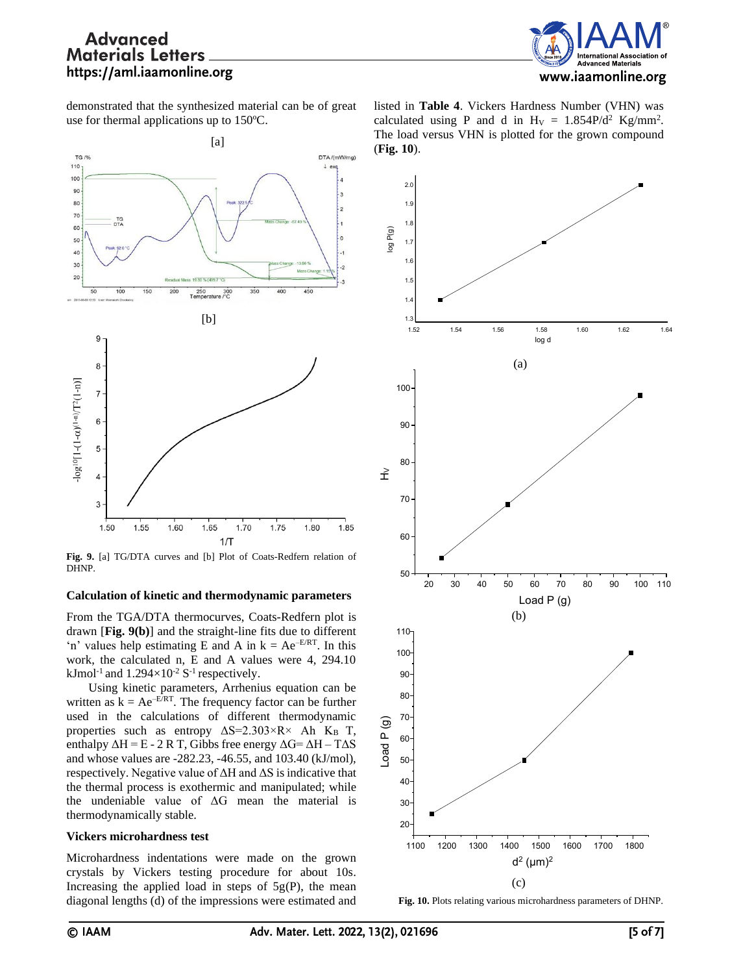

demonstrated that the synthesized material can be of great use for thermal applications up to 150ºC.



**Fig. 9.** [a] TG/DTA curves and [b] Plot of Coats-Redfern relation of DHNP.

#### **Calculation of kinetic and thermodynamic parameters**

From the TGA/DTA thermocurves, Coats-Redfern plot is drawn [**Fig. 9(b)**] and the straight-line fits due to different 'n' values help estimating E and A in  $k = Ae^{-E/RT}$ . In this work, the calculated n, E and A values were 4, 294.10 kJmol<sup>-1</sup> and  $1.294\times10^{-2}$  S<sup>-1</sup> respectively.

Using kinetic parameters, Arrhenius equation can be written as  $k = Ae^{-E/RT}$ . The frequency factor can be further used in the calculations of different thermodynamic properties such as entropy  $\Delta S = 2.303 \times R \times Ah$  KB T, enthalpy  $\Delta H = E - 2 R T$ , Gibbs free energy  $\Delta G = \Delta H - T \Delta S$ and whose values are -282.23, -46.55, and 103.40 (kJ/mol), respectively. Negative value of  $\Delta H$  and  $\Delta S$  is indicative that the thermal process is exothermic and manipulated; while the undeniable value of  $\Delta G$  mean the material is thermodynamically stable.

#### **Vickers microhardness test**

Microhardness indentations were made on the grown crystals by Vickers testing procedure for about 10s. Increasing the applied load in steps of  $5g(P)$ , the mean diagonal lengths (d) of the impressions were estimated and





**Fig. 10.** Plots relating various microhardness parameters of DHNP.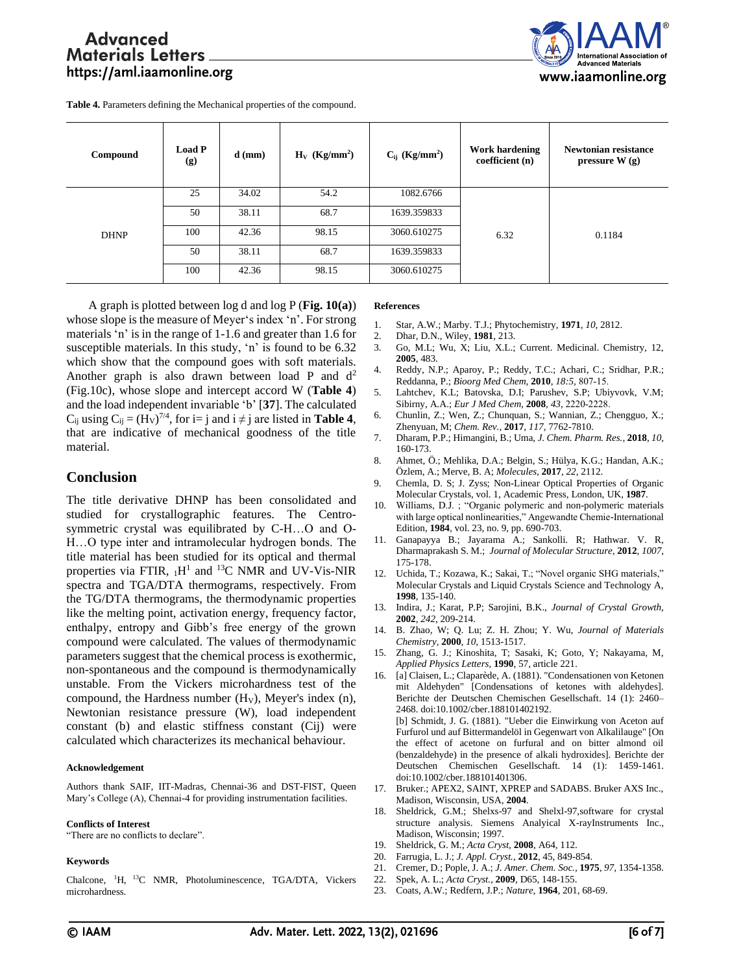

**Table 4.** Parameters defining the Mechanical properties of the compound.

| Compound    | <b>Load P</b><br>(g) | $d$ (mm) | $H_V$ (Kg/mm <sup>2</sup> ) | $C_{ij}$ (Kg/mm <sup>2</sup> ) | <b>Work hardening</b><br>coefficient (n) | Newtonian resistance<br>pressure $W(g)$ |
|-------------|----------------------|----------|-----------------------------|--------------------------------|------------------------------------------|-----------------------------------------|
| <b>DHNP</b> | 25                   | 34.02    | 54.2                        | 1082.6766                      | 6.32                                     | 0.1184                                  |
|             | 50                   | 38.11    | 68.7                        | 1639.359833                    |                                          |                                         |
|             | 100                  | 42.36    | 98.15                       | 3060.610275                    |                                          |                                         |
|             | 50                   | 38.11    | 68.7                        | 1639.359833                    |                                          |                                         |
|             | 100                  | 42.36    | 98.15                       | 3060.610275                    |                                          |                                         |

A graph is plotted between log d and log P (**Fig. 10(a)**) whose slope is the measure of Meyer's index 'n'. For strong materials 'n' is in the range of 1-1.6 and greater than 1.6 for susceptible materials. In this study, 'n' is found to be 6.32 which show that the compound goes with soft materials. Another graph is also drawn between load P and  $d^2$ (Fig.10c), whose slope and intercept accord W (**Table 4**) and the load independent invariable 'b' [**37**]. The calculated  $C_{ij}$  using  $C_{ij} = (H_V)^{7/4}$ , for i= j and i  $\neq j$  are listed in **Table 4**, that are indicative of mechanical goodness of the title material.

## **Conclusion**

The title derivative DHNP has been consolidated and studied for crystallographic features. The Centrosymmetric crystal was equilibrated by C-H…O and O-H…O type inter and intramolecular hydrogen bonds. The title material has been studied for its optical and thermal properties via FTIR,  $_1H^1$  and <sup>13</sup>C NMR and UV-Vis-NIR spectra and TGA/DTA thermograms, respectively. From the TG/DTA thermograms, the thermodynamic properties like the melting point, activation energy, frequency factor, enthalpy, entropy and Gibb's free energy of the grown compound were calculated. The values of thermodynamic parameters suggest that the chemical process is exothermic, non-spontaneous and the compound is thermodynamically unstable. From the Vickers microhardness test of the compound, the Hardness number  $(H_V)$ , Meyer's index  $(n)$ , Newtonian resistance pressure (W), load independent constant (b) and elastic stiffness constant (Cij) were calculated which characterizes its mechanical behaviour.

#### **Acknowledgement**

Authors thank SAIF, IIT-Madras, Chennai-36 and DST-FIST, Queen Mary's College (A), Chennai-4 for providing instrumentation facilities.

#### **Conflicts of Interest**

"There are no conflicts to declare".

#### **Keywords**

Chalcone, <sup>1</sup>H, <sup>13</sup>C NMR, Photoluminescence, TGA/DTA, Vickers microhardness.

#### **References**

- 1. Star, A.W.; Marby. T.J.; Phytochemistry, **1971**, *10,* 2812.
- 2. Dhar, D.N., Wiley, **1981**, 213.
- 3. Go, M.L; Wu, X; Liu, X.L.; Current. Medicinal. Chemistry, 12, **2005**, 483.
- 4. Reddy, N.P.; Aparoy, P.; Reddy, T.C.; Achari, C.; Sridhar, P.R.; Reddanna, P.; *Bioorg Med Chem,* **2010**, *18:5,* 807‑15.
- 5. Lahtchev, K.L; Batovska, D.I; Parushev, S.P; Ubiyvovk, V.M; Sibirny, A.A.; *Eur J Med Chem,* **2008**, *43,* 2220‑2228.
- 6. Chunlin, Z.; Wen, Z.; Chunquan, S.; Wannian, Z.; Chengguo, X.; Zhenyuan, M; *Chem. Rev.,* **2017**, *117,* 7762-7810.
- 7. Dharam, P.P.; Himangini, B.; Uma, *J. Chem. Pharm. Res.*, **2018**, *10,* 160-173.
- 8. Ahmet, Ö.; Mehlika, D.A.; Belgin, S.; Hülya, K.G.; Handan, A.K.; Özlem, A.; Merve, B. A; *Molecules,* **2017**, *22,* 2112.
- 9. Chemla, D. S; J. Zyss; Non-Linear Optical Properties of Organic Molecular Crystals, vol. 1, Academic Press, London, UK, **1987**.
- 10. Williams, D.J. ; "Organic polymeric and non-polymeric materials with large optical nonlinearities," Angewandte Chemie-International Edition, **1984**, vol. 23, no. 9, pp. 690-703.
- 11. Ganapayya B.; Jayarama A.; Sankolli. R; Hathwar. V. R, Dharmaprakash S. M.; *Journal of Molecular Structure,* **2012**, *1007*, 175-178.
- 12. Uchida, T.; Kozawa, K.; Sakai, T.; "Novel organic SHG materials," Molecular Crystals and Liquid Crystals Science and Technology A, **1998**, 135-140.
- 13. Indira, J.; Karat, P.P; Sarojini, B.K., *Journal of Crystal Growth,* **2002**, *242,* 209-214.
- 14. B. Zhao, W; Q. Lu; Z. H. Zhou; Y. Wu, *Journal of Materials Chemistry,* **2000**, *10,* 1513-1517.
- 15. Zhang, G. J.; Kinoshita, T; Sasaki, K; Goto, Y; Nakayama, M, *Applied Physics Letters,* **1990**, 57, article 221.
- 16. [a] Claisen, L.; Claparède, A. (1881)[. "Condensationen von Ketonen](http://gallica.bnf.fr/ark:/12148/bpt6k906939/f871.chemindefer)  [mit Aldehyden"](http://gallica.bnf.fr/ark:/12148/bpt6k906939/f871.chemindefer) [Condensations of ketones with aldehydes]. [Berichte der Deutschen Chemischen Gesellschaft.](https://en.wikipedia.org/wiki/Berichte_der_Deutschen_Chemischen_Gesellschaft) 14 (1): 2460– 2468[. doi:](https://en.wikipedia.org/wiki/Doi_(identifier))[10.1002/cber.188101402192.](https://doi.org/10.1002%2Fcber.188101402192) [b] Schmidt, J. G. (1881). ["Ueber die Einwirkung von Aceton auf](http://gallica.bnf.fr/ark:/12148/bpt6k90692z/f1461.chemindefer)  [Furfurol und auf Bittermandelöl in Gegenwart von Alkalilauge"](http://gallica.bnf.fr/ark:/12148/bpt6k90692z/f1461.chemindefer) [On the effect of acetone on furfural and on bitter almond oil (benzaldehyde) in the presence of alkali hydroxides]. [Berichte der](https://en.wikipedia.org/wiki/Berichte_der_Deutschen_Chemischen_Gesellschaft)  [Deutschen Chemischen Gesellschaft.](https://en.wikipedia.org/wiki/Berichte_der_Deutschen_Chemischen_Gesellschaft) 14 (1): 1459-1461. [doi:](https://en.wikipedia.org/wiki/Doi_(identifier))[10.1002/cber.188101401306.](https://doi.org/10.1002%2Fcber.188101401306)
- 17. Bruker.; APEX2, SAINT, XPREP and SADABS. Bruker AXS Inc., Madison, Wisconsin, USA, **2004**.
- 18. Sheldrick, G.M.; Shelxs-97 and Shelxl-97,software for crystal structure analysis. Siemens Analyical X-rayInstruments Inc., Madison, Wisconsin; 1997.
- 19. Sheldrick, G. M.; *Acta Cryst,* **2008**, A64, 112.
- 20. Farrugia, L. J.; *J. Appl. Cryst.,* **2012**, 45, 849-854.
- 21. Cremer, D.; Pople, J. A.; *J. Amer. Chem. Soc.,* **1975**, *97,* 1354-1358.
- 22. Spek, A. L.; *Acta Cryst.,* **2009**, D65, 148-155.
- 23. Coats, A.W.; Redfern, J.P.; *Nature,* **1964**, 201, 68-69.